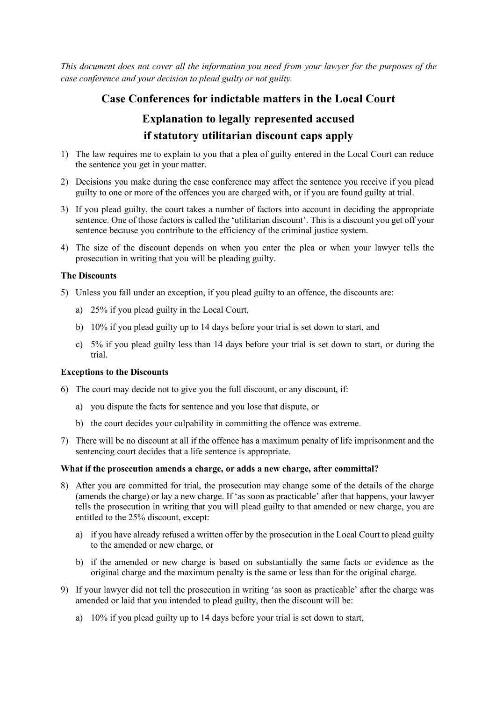*This document does not cover all the information you need from your lawyer for the purposes of the case conference and your decision to plead guilty or not guilty.*

## **Case Conferences for indictable matters in the Local Court**

### **Explanation to legally represented accused if statutory utilitarian discount caps apply**

- 1) The law requires me to explain to you that a plea of guilty entered in the Local Court can reduce the sentence you get in your matter.
- 2) Decisions you make during the case conference may affect the sentence you receive if you plead guilty to one or more of the offences you are charged with, or if you are found guilty at trial.
- 3) If you plead guilty, the court takes a number of factors into account in deciding the appropriate sentence. One of those factors is called the 'utilitarian discount'. This is a discount you get off your sentence because you contribute to the efficiency of the criminal justice system.
- 4) The size of the discount depends on when you enter the plea or when your lawyer tells the prosecution in writing that you will be pleading guilty.

#### **The Discounts**

- 5) Unless you fall under an exception, if you plead guilty to an offence, the discounts are:
	- a) 25% if you plead guilty in the Local Court,
	- b) 10% if you plead guilty up to 14 days before your trial is set down to start, and
	- c) 5% if you plead guilty less than 14 days before your trial is set down to start, or during the trial.

#### **Exceptions to the Discounts**

- 6) The court may decide not to give you the full discount, or any discount, if:
	- a) you dispute the facts for sentence and you lose that dispute, or
	- b) the court decides your culpability in committing the offence was extreme.
- 7) There will be no discount at all if the offence has a maximum penalty of life imprisonment and the sentencing court decides that a life sentence is appropriate.

#### **What if the prosecution amends a charge, or adds a new charge, after committal?**

- 8) After you are committed for trial, the prosecution may change some of the details of the charge (amends the charge) or lay a new charge. If 'as soon as practicable' after that happens, your lawyer tells the prosecution in writing that you will plead guilty to that amended or new charge, you are entitled to the 25% discount, except:
	- a) if you have already refused a written offer by the prosecution in the Local Court to plead guilty to the amended or new charge, or
	- b) if the amended or new charge is based on substantially the same facts or evidence as the original charge and the maximum penalty is the same or less than for the original charge.
- 9) If your lawyer did not tell the prosecution in writing 'as soon as practicable' after the charge was amended or laid that you intended to plead guilty, then the discount will be:
	- a) 10% if you plead guilty up to 14 days before your trial is set down to start,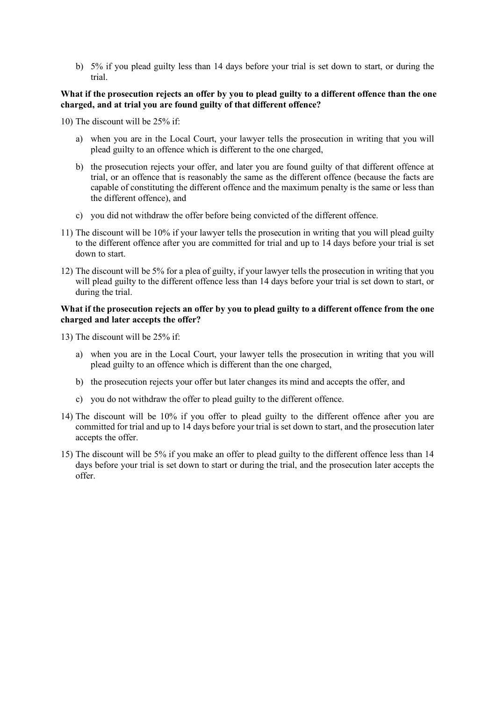b) 5% if you plead guilty less than 14 days before your trial is set down to start, or during the trial.

#### **What if the prosecution rejects an offer by you to plead guilty to a different offence than the one charged, and at trial you are found guilty of that different offence?**

10) The discount will be 25% if:

- a) when you are in the Local Court, your lawyer tells the prosecution in writing that you will plead guilty to an offence which is different to the one charged,
- b) the prosecution rejects your offer, and later you are found guilty of that different offence at trial, or an offence that is reasonably the same as the different offence (because the facts are capable of constituting the different offence and the maximum penalty is the same or less than the different offence), and
- c) you did not withdraw the offer before being convicted of the different offence.
- 11) The discount will be 10% if your lawyer tells the prosecution in writing that you will plead guilty to the different offence after you are committed for trial and up to 14 days before your trial is set down to start.
- 12) The discount will be 5% for a plea of guilty, if your lawyer tells the prosecution in writing that you will plead guilty to the different offence less than 14 days before your trial is set down to start, or during the trial.

#### **What if the prosecution rejects an offer by you to plead guilty to a different offence from the one charged and later accepts the offer?**

13) The discount will be 25% if:

- a) when you are in the Local Court, your lawyer tells the prosecution in writing that you will plead guilty to an offence which is different than the one charged,
- b) the prosecution rejects your offer but later changes its mind and accepts the offer, and
- c) you do not withdraw the offer to plead guilty to the different offence.
- 14) The discount will be 10% if you offer to plead guilty to the different offence after you are committed for trial and up to 14 days before your trial is set down to start, and the prosecution later accepts the offer.
- 15) The discount will be 5% if you make an offer to plead guilty to the different offence less than 14 days before your trial is set down to start or during the trial, and the prosecution later accepts the offer.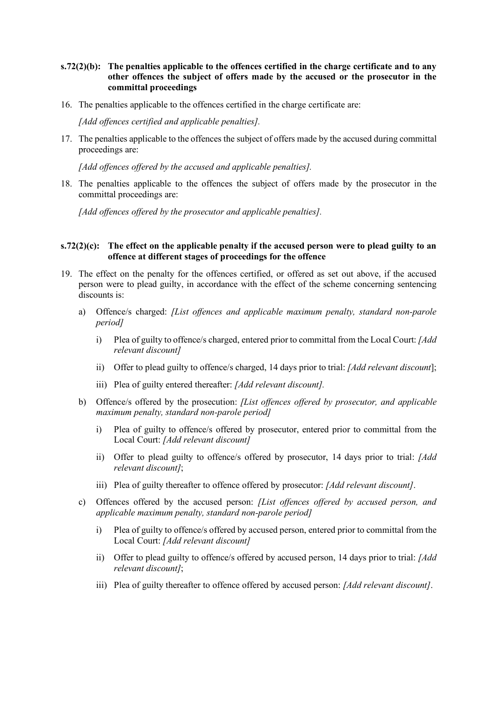#### **s.72(2)(b): The penalties applicable to the offences certified in the charge certificate and to any other offences the subject of offers made by the accused or the prosecutor in the committal proceedings**

16. The penalties applicable to the offences certified in the charge certificate are:

*[Add offences certified and applicable penalties].*

17. The penalties applicable to the offences the subject of offers made by the accused during committal proceedings are:

*[Add offences offered by the accused and applicable penalties].*

18. The penalties applicable to the offences the subject of offers made by the prosecutor in the committal proceedings are:

*[Add offences offered by the prosecutor and applicable penalties].*

#### **s.72(2)(c): The effect on the applicable penalty if the accused person were to plead guilty to an offence at different stages of proceedings for the offence**

- 19. The effect on the penalty for the offences certified, or offered as set out above, if the accused person were to plead guilty, in accordance with the effect of the scheme concerning sentencing discounts is:
	- a) Offence/s charged: *[List offences and applicable maximum penalty, standard non-parole period]*
		- i) Plea of guilty to offence/s charged, entered prior to committal from the Local Court: *[Add relevant discount]*
		- ii) Offer to plead guilty to offence/s charged, 14 days prior to trial: *[Add relevant discount*];
		- iii) Plea of guilty entered thereafter: *[Add relevant discount].*
	- b) Offence/s offered by the prosecution: *[List offences offered by prosecutor, and applicable maximum penalty, standard non-parole period]*
		- i) Plea of guilty to offence/s offered by prosecutor, entered prior to committal from the Local Court: *[Add relevant discount]*
		- ii) Offer to plead guilty to offence/s offered by prosecutor, 14 days prior to trial: *[Add relevant discount]*;
		- iii) Plea of guilty thereafter to offence offered by prosecutor: *[Add relevant discount]*.
	- c) Offences offered by the accused person: *[List offences offered by accused person, and applicable maximum penalty, standard non-parole period]*
		- i) Plea of guilty to offence/s offered by accused person, entered prior to committal from the Local Court: *[Add relevant discount]*
		- ii) Offer to plead guilty to offence/s offered by accused person, 14 days prior to trial: *[Add relevant discount]*;
		- iii) Plea of guilty thereafter to offence offered by accused person: *[Add relevant discount]*.